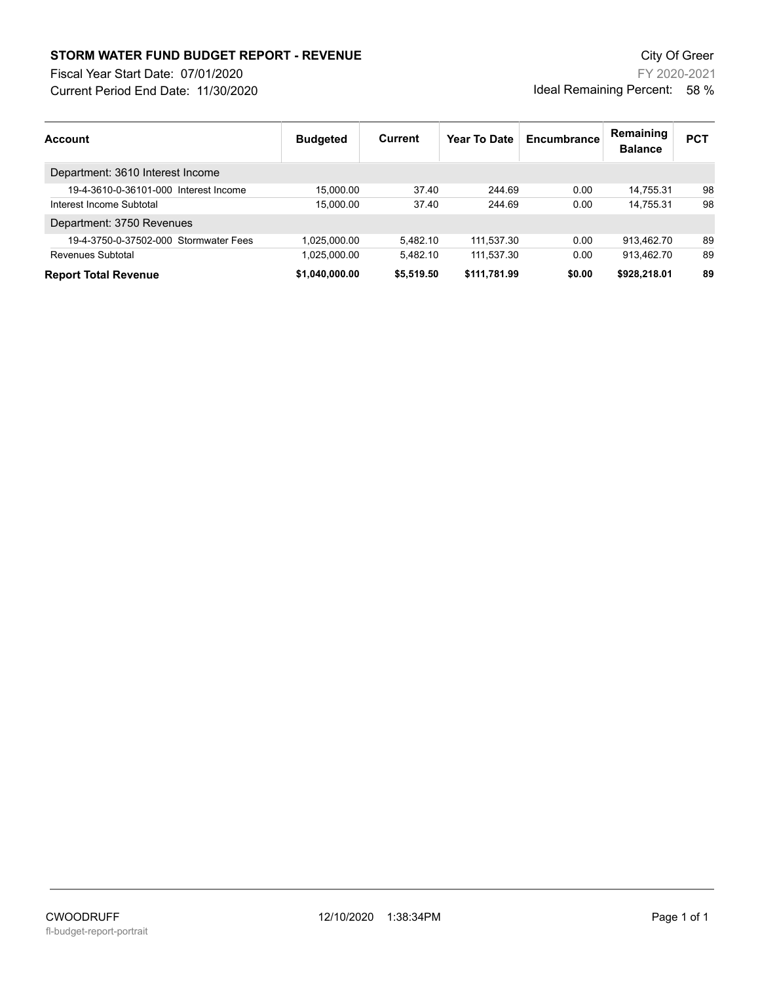## **STORM WATER FUND BUDGET REPORT - REVENUE City Of Greer** City Of Greer

Fiscal Year Start Date: 07/01/2020

Current Period End Date: 11/30/2020

FY 2020-2021 Ideal Remaining Percent: 58 %

| <b>Account</b>                        | <b>Budgeted</b> | Current    | Year To Date | Encumbrance | Remaining<br><b>Balance</b> | <b>PCT</b> |
|---------------------------------------|-----------------|------------|--------------|-------------|-----------------------------|------------|
| Department: 3610 Interest Income      |                 |            |              |             |                             |            |
| 19-4-3610-0-36101-000 Interest Income | 15.000.00       | 37.40      | 244.69       | 0.00        | 14.755.31                   | 98         |
| Interest Income Subtotal              | 15.000.00       | 37.40      | 244.69       | 0.00        | 14.755.31                   | 98         |
| Department: 3750 Revenues             |                 |            |              |             |                             |            |
| 19-4-3750-0-37502-000 Stormwater Fees | 1.025.000.00    | 5.482.10   | 111.537.30   | 0.00        | 913.462.70                  | 89         |
| Revenues Subtotal                     | 1.025.000.00    | 5.482.10   | 111.537.30   | 0.00        | 913.462.70                  | 89         |
| <b>Report Total Revenue</b>           | \$1.040.000.00  | \$5,519.50 | \$111,781.99 | \$0.00      | \$928,218.01                | 89         |